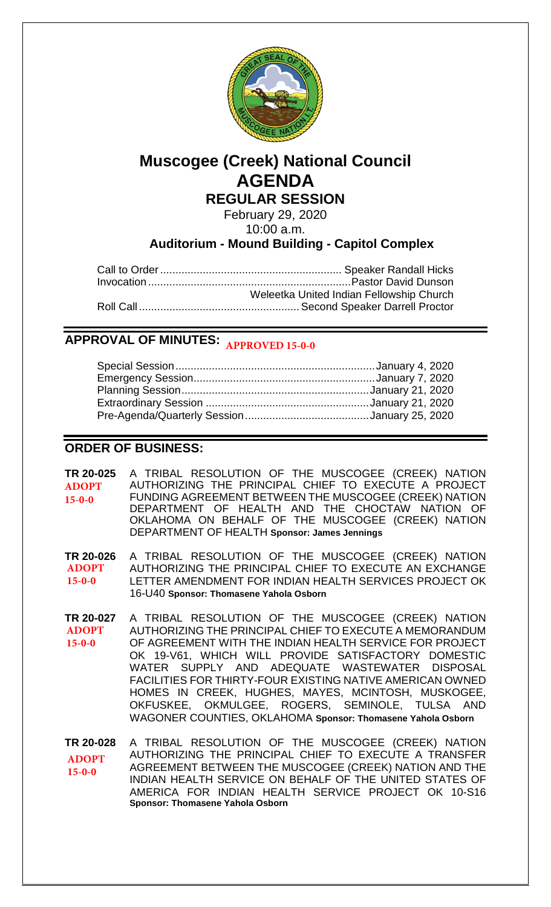

# **Muscogee (Creek) National Council AGENDA REGULAR SESSION**

February 29, 2020 10:00 a.m.

**Auditorium - Mound Building - Capitol Complex**

| Weleetka United Indian Fellowship Church |
|------------------------------------------|
|                                          |

## **APPROVAL OF MINUTES: APPROVED 15-0-0**

## **ORDER OF BUSINESS:**

**[TR 20-025](bills/20-025.pdf)** A TRIBAL RESOLUTION OF THE MUSCOGEE (CREEK) NATION AUTHORIZING THE PRINCIPAL CHIEF TO EXECUTE A PROJECT FUNDING AGREEMENT BETWEEN THE MUSCOGEE (CREEK) NATION DEPARTMENT OF HEALTH AND THE CHOCTAW NATION OF OKLAHOMA ON BEHALF OF THE MUSCOGEE (CREEK) NATION DEPARTMENT OF HEALTH **Sponsor: James Jennings ADOPT 15-0-0**

**[TR 20-026](bills/20-026.pdf)** A TRIBAL RESOLUTION OF THE MUSCOGEE (CREEK) NATION AUTHORIZING THE PRINCIPAL CHIEF TO EXECUTE AN EXCHANGE LETTER AMENDMENT FOR INDIAN HEALTH SERVICES PROJECT OK 16-U40 **Sponsor: Thomasene Yahola Osborn ADOPT 15-0-0**

**[TR 20-027](bills/20-027.pdf)** A TRIBAL RESOLUTION OF THE MUSCOGEE (CREEK) NATION AUTHORIZING THE PRINCIPAL CHIEF TO EXECUTE A MEMORANDUM OF AGREEMENT WITH THE INDIAN HEALTH SERVICE FOR PROJECT OK 19-V61, WHICH WILL PROVIDE SATISFACTORY DOMESTIC WATER SUPPLY AND ADEQUATE WASTEWATER DISPOSAL FACILITIES FOR THIRTY-FOUR EXISTING NATIVE AMERICAN OWNED HOMES IN CREEK, HUGHES, MAYES, MCINTOSH, MUSKOGEE, OKFUSKEE, OKMULGEE, ROGERS, SEMINOLE, TULSA AND WAGONER COUNTIES, OKLAHOMA **Sponsor: Thomasene Yahola Osborn ADOPT 15-0-0**

**[TR 20-028](bills/20-028.pdf)** A TRIBAL RESOLUTION OF THE MUSCOGEE (CREEK) NATION AUTHORIZING THE PRINCIPAL CHIEF TO EXECUTE A TRANSFER AGREEMENT BETWEEN THE MUSCOGEE (CREEK) NATION AND THE INDIAN HEALTH SERVICE ON BEHALF OF THE UNITED STATES OF AMERICA FOR INDIAN HEALTH SERVICE PROJECT OK 10-S16 **Sponsor: Thomasene Yahola Osborn ADOPT 15-0-0**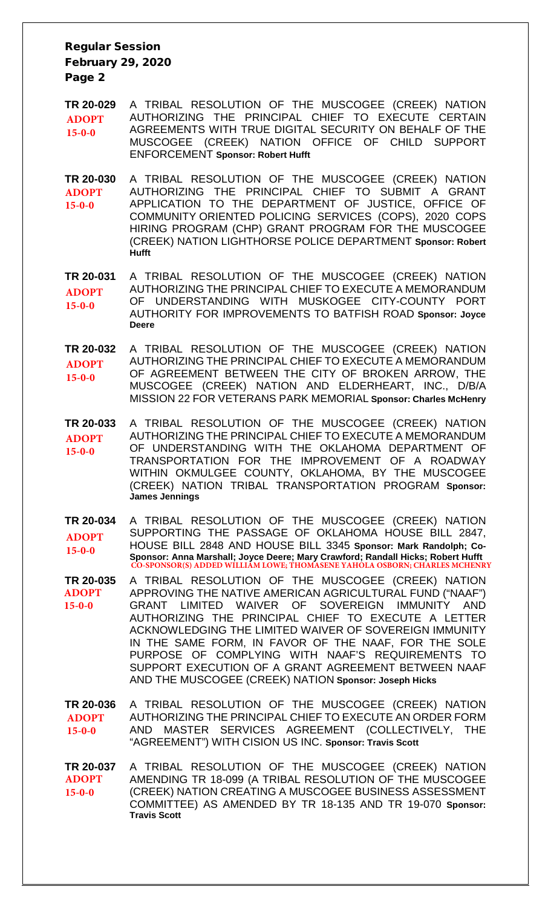### Regular Session February 29, 2020 Page 2

- **[TR 20-029](bills/20-029.pdf)** A TRIBAL RESOLUTION OF THE MUSCOGEE (CREEK) NATION AUTHORIZING THE PRINCIPAL CHIEF TO EXECUTE CERTAIN AGREEMENTS WITH TRUE DIGITAL SECURITY ON BEHALF OF THE MUSCOGEE (CREEK) NATION OFFICE OF CHILD SUPPORT ENFORCEMENT **Sponsor: Robert Hufft ADOPT 15-0-0**
- **[TR 20-030](bills/20-030.pdf)** A TRIBAL RESOLUTION OF THE MUSCOGEE (CREEK) NATION AUTHORIZING THE PRINCIPAL CHIEF TO SUBMIT A GRANT APPLICATION TO THE DEPARTMENT OF JUSTICE, OFFICE OF COMMUNITY ORIENTED POLICING SERVICES (COPS), 2020 COPS HIRING PROGRAM (CHP) GRANT PROGRAM FOR THE MUSCOGEE (CREEK) NATION LIGHTHORSE POLICE DEPARTMENT **Sponsor: Robert Hufft ADOPT 15-0-0**

**[TR 20-031](bills/20-031.pdf)** A TRIBAL RESOLUTION OF THE MUSCOGEE (CREEK) NATION AUTHORIZING THE PRINCIPAL CHIEF TO EXECUTE A MEMORANDUM OF UNDERSTANDING WITH MUSKOGEE CITY-COUNTY PORT AUTHORITY FOR IMPROVEMENTS TO BATFISH ROAD **Sponsor: Joyce Deere ADOPT 15-0-0**

**[TR 20-032](bills/20-032.pdf)** A TRIBAL RESOLUTION OF THE MUSCOGEE (CREEK) NATION AUTHORIZING THE PRINCIPAL CHIEF TO EXECUTE A MEMORANDUM OF AGREEMENT BETWEEN THE CITY OF BROKEN ARROW, THE MUSCOGEE (CREEK) NATION AND ELDERHEART, INC., D/B/A MISSION 22 FOR VETERANS PARK MEMORIAL **Sponsor: Charles McHenry ADOPT 15-0-0**

**[TR 20-033](bills/20-033.pdf)** A TRIBAL RESOLUTION OF THE MUSCOGEE (CREEK) NATION AUTHORIZING THE PRINCIPAL CHIEF TO EXECUTE A MEMORANDUM OF UNDERSTANDING WITH THE OKLAHOMA DEPARTMENT OF TRANSPORTATION FOR THE IMPROVEMENT OF A ROADWAY WITHIN OKMULGEE COUNTY, OKLAHOMA, BY THE MUSCOGEE (CREEK) NATION TRIBAL TRANSPORTATION PROGRAM **Sponsor: James Jennings ADOPT 15-0-0**

**[TR 20-034](bills/20-034.pdf)** A TRIBAL RESOLUTION OF THE MUSCOGEE (CREEK) NATION SUPPORTING THE PASSAGE OF OKLAHOMA HOUSE BILL 2847, HOUSE BILL 2848 AND HOUSE BILL 3345 **Sponsor: Mark Randolph; Co-Sponsor: Anna Marshall; Joyce Deere; Mary Crawford; Randall Hicks; Robert Hufft ADOPT 15-0-0 CO-SPONSOR(S) ADDED WILLIAM LOWE; THOMASENE YAHOLA OSBORN; CHA** 

**[TR 20-035](bills/20-035.pdf)** A TRIBAL RESOLUTION OF THE MUSCOGEE (CREEK) NATION APPROVING THE NATIVE AMERICAN AGRICULTURAL FUND ("NAAF") GRANT LIMITED WAIVER OF SOVEREIGN IMMUNITY AND AUTHORIZING THE PRINCIPAL CHIEF TO EXECUTE A LETTER ACKNOWLEDGING THE LIMITED WAIVER OF SOVEREIGN IMMUNITY IN THE SAME FORM, IN FAVOR OF THE NAAF, FOR THE SOLE PURPOSE OF COMPLYING WITH NAAF'S REQUIREMENTS TO SUPPORT EXECUTION OF A GRANT AGREEMENT BETWEEN NAAF AND THE MUSCOGEE (CREEK) NATION **Sponsor: Joseph Hicks ADOPT 15-0-0**

**[TR 20-036](bills/20-036.pdf)** A TRIBAL RESOLUTION OF THE MUSCOGEE (CREEK) NATION AUTHORIZING THE PRINCIPAL CHIEF TO EXECUTE AN ORDER FORM AND MASTER SERVICES AGREEMENT (COLLECTIVELY, THE "AGREEMENT") WITH CISION US INC. **Sponsor: Travis Scott ADOPT 15-0-0**

**[TR 20-037](bills/20-037.pdf)** A TRIBAL RESOLUTION OF THE MUSCOGEE (CREEK) NATION AMENDING TR 18-099 (A TRIBAL RESOLUTION OF THE MUSCOGEE (CREEK) NATION CREATING A MUSCOGEE BUSINESS ASSESSMENT COMMITTEE) AS AMENDED BY TR 18-135 AND TR 19-070 **Sponsor: Travis Scott ADOPT 15-0-0**